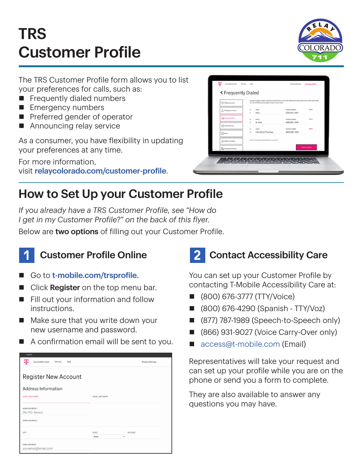# TRS Customer Profile



The TRS Customer Profile form allows you to list your preferences for calls, such as:

- $\blacksquare$  Frequently dialed numbers
- **Emergency numbers**
- $\blacksquare$  Preferred gender of operator
- $\blacksquare$  Announcing relay service

As a consumer, you have flexibility in updating your preferences at any time.

For more information, visit [relaycolorado.com/customer-profile](http://relaycolorado.com/customer-profile).

| (1) IP Relay Numbers                    | Frequently dialed numbers are phone numbers that you would like speed dial or easy access to (i.e. mom, work, home,<br>etc.). Up to 100 frequently dialed numbers can be stored. |                                |               |
|-----------------------------------------|----------------------------------------------------------------------------------------------------------------------------------------------------------------------------------|--------------------------------|---------------|
| A Emergency Location                    | NAME<br>10<br>Mom<br>1                                                                                                                                                           | PHONE NUMBER<br>(312) 555-2587 | Delete        |
| Ta Frequently Dialed                    | 10<br><b>NAME</b>                                                                                                                                                                | PHONE NUMBER                   | Delete        |
| Call Preferences                        | $\overline{c}$<br>Dr. Gold<br>NAME<br>10                                                                                                                                         | (410) 555-4789<br>PHONE NUMBER | <b>Delate</b> |
| $\boxed{\mathcal{L}_{m}}$ Notes         | Main Street Pharmacy<br>3                                                                                                                                                        | (443) 555-0120                 |               |
| Speech to Speech                        | There are 3 Frequently Dialed Numbers in your profile.                                                                                                                           |                                |               |
| <b>D</b> <sub>O</sub> Emergency Numbers |                                                                                                                                                                                  |                                | Add number    |

### How to Set Up your Customer Profile

*If you already have a TRS Customer Profile, see "How do I get in my Customer Profile?" on the back of this flyer.*

Below are two options of filling out your Customer Profile.



#### **Customer Profile Online**

- Go to [t-mobile.com/trsprofile.](http://t-mobile.com/trsprofile)
- Click Register on the top menu bar.
- $\blacksquare$  Fill out your information and follow instructions.
- $\blacksquare$  Make sure that you write down your new username and password.
- $\blacksquare$  A confirmation email will be sent to you.

| copairon                                          |                    |                         |
|---------------------------------------------------|--------------------|-------------------------|
| ሞ<br>Accessibility Care<br>911 Info<br><b>FAQ</b> |                    | <b>Display Settings</b> |
|                                                   |                    |                         |
| <b>Register New Account</b>                       |                    |                         |
| Address Information                               |                    |                         |
| LEGAL FIRST NAME'                                 | LEGAL LAST NAME'   |                         |
|                                                   |                    |                         |
| HOME ADDRESS 1"                                   |                    |                         |
| (No P.O. Boxes)                                   |                    |                         |
| HOME ADDRESS 2                                    |                    |                         |
| CITY <sup>*</sup>                                 | STATE <sup>®</sup> | ZIP CODE'               |
|                                                   | ٠<br>State         |                         |
| <b>EMAIL ADDRESS®</b><br>youremail@email.com      |                    |                         |

## 2 Contact Accessibility Care

You can set up your Customer Profile by contacting T-Mobile Accessibility Care at:

- n (800) 676-3777 (TTY/Voice)
- n (800) 676-4290 (Spanish TTY/Voz)
- (877) 787-1989 (Speech-to-Speech only)
- (866) 931-9027 (Voice Carry-Over only)
- [access@t-mobile.com](mailto:access%40t-mobile.com?subject=) (Email)

Representatives will take your request and can set up your profile while you are on the phone or send you a form to complete.

They are also available to answer any questions you may have.